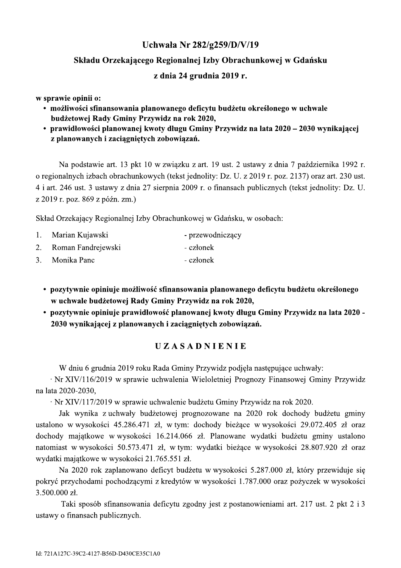- 
- 

Uchwała Nr 282/g259/D/V/19<br>
Składu Orzekającego Regionalnej Izby Obrachunkowej w Gdańsku<br>
z dnia 24 grudnia 2019 r.<br>
w sprawie opinii o:<br>
• możliwości sfinansowania planowanego deficytu budżetu określonego w uchwale<br>
budż stawie art. 13 pkt 10 w związku z art. 19 ust. 2 ustawy z dnia 7 pazdziernika 1992 r. o regionalnych izbach obrachunkowych (tekst jednolity: Dz. U. z 2019 r. poz. 2137) oraz art. 230 ust. 4 i art. 246 ust. 3 ustawy z dnia 27 sierpnia 2009 r. o finansach publicznych (tekst jednolity: Dz. U. z 2019 r. poz.  $869$  z późn. zm.)

| 1. | Marian Kujawski    | - przewodniczący                                                                                                                                 |
|----|--------------------|--------------------------------------------------------------------------------------------------------------------------------------------------|
| 2. | Roman Fandrejewski | - członek                                                                                                                                        |
| 3. | Monika Panc        | - członek                                                                                                                                        |
|    |                    | w uchwale budżetowej Rady Gminy Przywidz na rok 2020,<br>• pozytywnie opiniuje prawidłowość planowanej kwoty długu Gminy Przywidz na lata 2020 - |
|    |                    | 2030 wynikającej z planowanych i zaciągniętych zobowiązań.                                                                                       |
|    |                    | UZASADNIENIE                                                                                                                                     |
|    |                    | W dniu 6 grudnia 2019 roku Rada Gminy Przywidz podjęła następujące uchwały:                                                                      |
|    |                    | · Nr XIV/116/2019 w sprawie uchwalenia Wieloletniej Prognozy Finansowej Gminy Przywidz                                                           |

- 
- 

 $\cdot$  Nr XIV/116/2019 w sprawie uchwalenia Wieloletniej Prognozy Finansowej Gminy Przywidz na lata 2020-2030,

 $\cdot$  Nr XIV/IT//2019 w sprawie uchwalenie budzetu Gminy Przywidz na rok 2020.

Jak wynika z-uchwały budzetowej prognozowane na 2020 rok dochody budzetu gminy ustalono wwysokosci 45.286.471 zł, wtym: dochody biezące wwysokosci 29.072.405 zł oraz dochody majątkowe wwysokosci 16.214.066 zł. Planowane wydatki budzetu gminy ustalono natomiast wwysokości 50.5/3.4/1 zł, wtym: wydatki biezące wwysokości 28.80/.920 zł oraz wydatki majątkowe w wysokości 21.765.551 zł.

Na 2020 rok zaplanowano deficyt budzetu w wysokosci 5.287.000 zł, ktory przewiduje się pokryc przychodami pochodzącymi z kredytow w wysokości 1.787.000 oraz pozyczek w wysokości 3.500.000 zł.

Taki sposob stinansowania deficytu zgodny jest z postanowieniami art. 217 ust. 2 pkt 2 i 3 ustawy o finansach publicznych.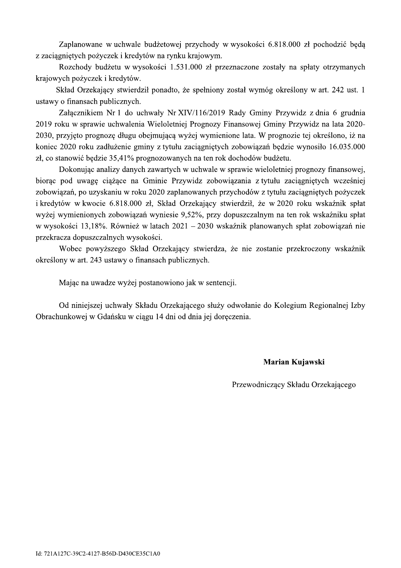Zaplanowane w uchwale budżetowej przychody w wysokości 6.818.000 zł pochodzić będą z zaciagnietych pożyczek i kredytów na rynku krajowym.

Rozchody budżetu w wysokości 1.531.000 zł przeznaczone zostały na spłaty otrzymanych krajowych pożyczek i kredytów.

Skład Orzekający stwierdził ponadto, że spełniony został wymóg określony w art. 242 ust. 1 ustawy o finansach publicznych.

Załącznikiem Nr 1 do uchwały Nr XIV/116/2019 Rady Gminy Przywidz z dnia 6 grudnia 2019 roku w sprawie uchwalenia Wieloletniej Prognozy Finansowej Gminy Przywidz na lata 2020-2030, przyjęto prognozę długu obejmującą wyżej wymienione lata. W prognozie tej określono, iż na koniec 2020 roku zadłużenie gminy z tytułu zaciągniętych zobowiązań będzie wynosiło 16.035.000 zł, co stanowić będzie 35,41% prognozowanych na ten rok dochodów budżetu.

Dokonując analizy danych zawartych w uchwale w sprawie wieloletniej prognozy finansowej, biorąc pod uwagę ciążące na Gminie Przywidz zobowiązania z tytułu zaciągniętych wcześniej zobowiązań, po uzyskaniu w roku 2020 zaplanowanych przychodów z tytułu zaciągniętych pożyczek i kredytów w kwocie 6.818.000 zł, Skład Orzekający stwierdził, że w 2020 roku wskaźnik spłat wyżej wymienionych zobowiązań wyniesie 9,52%, przy dopuszczalnym na ten rok wskaźniku spłat w wysokości 13,18%. Również w latach 2021 – 2030 wskaźnik planowanych spłat zobowiązań nie przekracza dopuszczalnych wysokości.

Wobec powyższego Skład Orzekający stwierdza, że nie zostanie przekroczony wskaźnik określony w art. 243 ustawy o finansach publicznych.

Mając na uwadze wyżej postanowiono jak w sentencji.

Od niniejszej uchwały Składu Orzekającego służy odwołanie do Kolegium Regionalnej Izby Obrachunkowej w Gdańsku w ciągu 14 dni od dnia jej doręczenia.

Marian Kujawski

Przewodniczący Składu Orzekającego